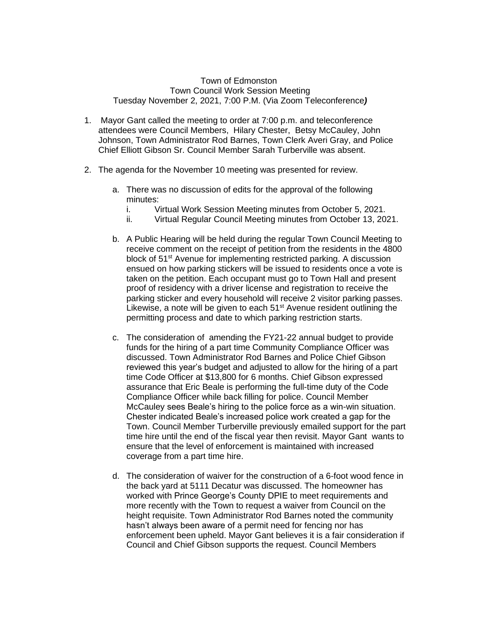## Town of Edmonston Town Council Work Session Meeting Tuesday November 2, 2021, 7:00 P.M. (Via Zoom Teleconference*)*

- 1. Mayor Gant called the meeting to order at 7:00 p.m. and teleconference attendees were Council Members, Hilary Chester, Betsy McCauley, John Johnson, Town Administrator Rod Barnes, Town Clerk Averi Gray, and Police Chief Elliott Gibson Sr. Council Member Sarah Turberville was absent.
- 2. The agenda for the November 10 meeting was presented for review.
	- a. There was no discussion of edits for the approval of the following minutes:
		- i. Virtual Work Session Meeting minutes from October 5, 2021.
		- ii. Virtual Regular Council Meeting minutes from October 13, 2021.
	- b. A Public Hearing will be held during the regular Town Council Meeting to receive comment on the receipt of petition from the residents in the 4800 block of 51st Avenue for implementing restricted parking. A discussion ensued on how parking stickers will be issued to residents once a vote is taken on the petition. Each occupant must go to Town Hall and present proof of residency with a driver license and registration to receive the parking sticker and every household will receive 2 visitor parking passes. Likewise, a note will be given to each  $51<sup>st</sup>$  Avenue resident outlining the permitting process and date to which parking restriction starts.
	- c. The consideration of amending the FY21-22 annual budget to provide funds for the hiring of a part time Community Compliance Officer was discussed. Town Administrator Rod Barnes and Police Chief Gibson reviewed this year's budget and adjusted to allow for the hiring of a part time Code Officer at \$13,800 for 6 months. Chief Gibson expressed assurance that Eric Beale is performing the full-time duty of the Code Compliance Officer while back filling for police. Council Member McCauley sees Beale's hiring to the police force as a win-win situation. Chester indicated Beale's increased police work created a gap for the Town. Council Member Turberville previously emailed support for the part time hire until the end of the fiscal year then revisit. Mayor Gant wants to ensure that the level of enforcement is maintained with increased coverage from a part time hire.
	- d. The consideration of waiver for the construction of a 6-foot wood fence in the back yard at 5111 Decatur was discussed. The homeowner has worked with Prince George's County DPIE to meet requirements and more recently with the Town to request a waiver from Council on the height requisite. Town Administrator Rod Barnes noted the community hasn't always been aware of a permit need for fencing nor has enforcement been upheld. Mayor Gant believes it is a fair consideration if Council and Chief Gibson supports the request. Council Members